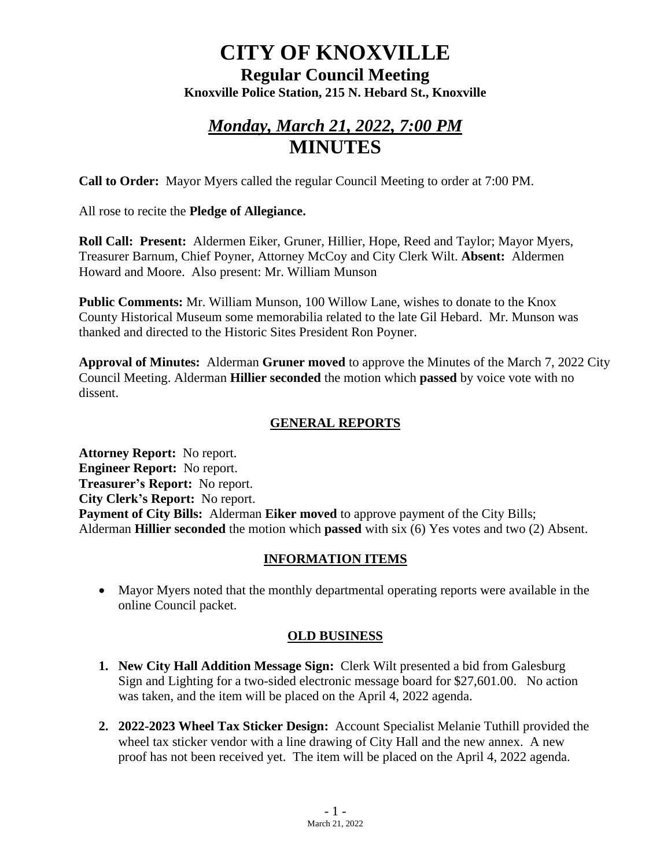# **CITY OF KNOXVILLE**

**Regular Council Meeting Knoxville Police Station, 215 N. Hebard St., Knoxville**

## *Monday, March 21, 2022, 7:00 PM* **MINUTES**

**Call to Order:** Mayor Myers called the regular Council Meeting to order at 7:00 PM.

All rose to recite the **Pledge of Allegiance.**

**Roll Call: Present:** Aldermen Eiker, Gruner, Hillier, Hope, Reed and Taylor; Mayor Myers, Treasurer Barnum, Chief Poyner, Attorney McCoy and City Clerk Wilt. **Absent:** Aldermen Howard and Moore. Also present: Mr. William Munson

**Public Comments:** Mr. William Munson, 100 Willow Lane, wishes to donate to the Knox County Historical Museum some memorabilia related to the late Gil Hebard. Mr. Munson was thanked and directed to the Historic Sites President Ron Poyner.

**Approval of Minutes:** Alderman **Gruner moved** to approve the Minutes of the March 7, 2022 City Council Meeting. Alderman **Hillier seconded** the motion which **passed** by voice vote with no dissent.

### **GENERAL REPORTS**

**Attorney Report:** No report. **Engineer Report:** No report. **Treasurer's Report:** No report. **City Clerk's Report:** No report. **Payment of City Bills:** Alderman **Eiker moved** to approve payment of the City Bills; Alderman **Hillier seconded** the motion which **passed** with six (6) Yes votes and two (2) Absent.

### **INFORMATION ITEMS**

• Mayor Myers noted that the monthly departmental operating reports were available in the online Council packet.

### **OLD BUSINESS**

- **1. New City Hall Addition Message Sign:** Clerk Wilt presented a bid from Galesburg Sign and Lighting for a two-sided electronic message board for \$27,601.00. No action was taken, and the item will be placed on the April 4, 2022 agenda.
- **2. 2022-2023 Wheel Tax Sticker Design:** Account Specialist Melanie Tuthill provided the wheel tax sticker vendor with a line drawing of City Hall and the new annex. A new proof has not been received yet. The item will be placed on the April 4, 2022 agenda.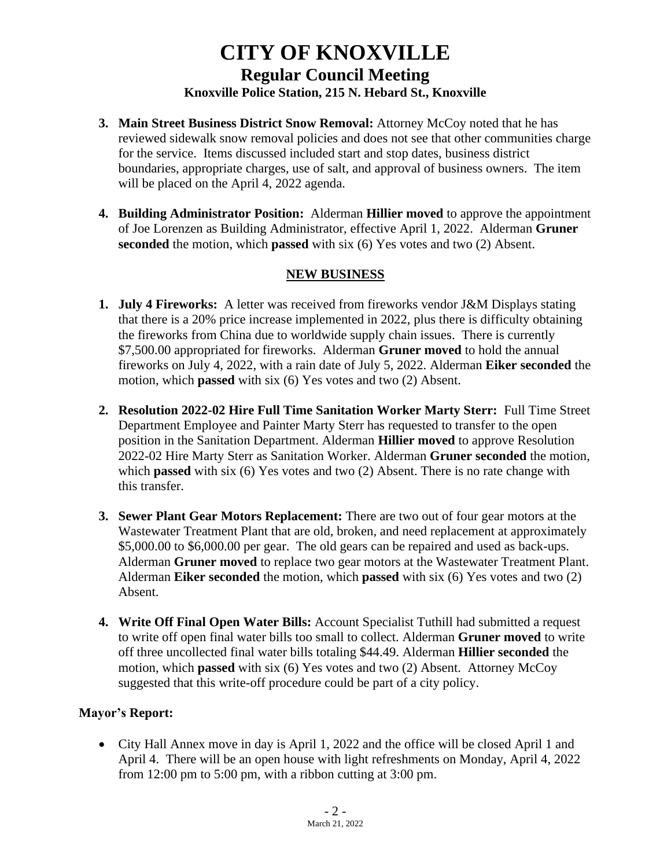### **CITY OF KNOXVILLE Regular Council Meeting Knoxville Police Station, 215 N. Hebard St., Knoxville**

- **3. Main Street Business District Snow Removal:** Attorney McCoy noted that he has reviewed sidewalk snow removal policies and does not see that other communities charge for the service. Items discussed included start and stop dates, business district boundaries, appropriate charges, use of salt, and approval of business owners. The item will be placed on the April 4, 2022 agenda.
- **4. Building Administrator Position:** Alderman **Hillier moved** to approve the appointment of Joe Lorenzen as Building Administrator, effective April 1, 2022. Alderman **Gruner seconded** the motion, which **passed** with six (6) Yes votes and two (2) Absent.

### **NEW BUSINESS**

- **1. July 4 Fireworks:** A letter was received from fireworks vendor J&M Displays stating that there is a 20% price increase implemented in 2022, plus there is difficulty obtaining the fireworks from China due to worldwide supply chain issues. There is currently \$7,500.00 appropriated for fireworks. Alderman **Gruner moved** to hold the annual fireworks on July 4, 2022, with a rain date of July 5, 2022. Alderman **Eiker seconded** the motion, which **passed** with six (6) Yes votes and two (2) Absent.
- **2. Resolution 2022-02 Hire Full Time Sanitation Worker Marty Sterr:** Full Time Street Department Employee and Painter Marty Sterr has requested to transfer to the open position in the Sanitation Department. Alderman **Hillier moved** to approve Resolution 2022-02 Hire Marty Sterr as Sanitation Worker. Alderman **Gruner seconded** the motion, which **passed** with six (6) Yes votes and two (2) Absent. There is no rate change with this transfer.
- **3. Sewer Plant Gear Motors Replacement:** There are two out of four gear motors at the Wastewater Treatment Plant that are old, broken, and need replacement at approximately \$5,000.00 to \$6,000.00 per gear. The old gears can be repaired and used as back-ups. Alderman **Gruner moved** to replace two gear motors at the Wastewater Treatment Plant. Alderman **Eiker seconded** the motion, which **passed** with six (6) Yes votes and two (2) Absent.
- **4. Write Off Final Open Water Bills:** Account Specialist Tuthill had submitted a request to write off open final water bills too small to collect. Alderman **Gruner moved** to write off three uncollected final water bills totaling \$44.49. Alderman **Hillier seconded** the motion, which **passed** with six (6) Yes votes and two (2) Absent. Attorney McCoy suggested that this write-off procedure could be part of a city policy.

#### **Mayor's Report:**

• City Hall Annex move in day is April 1, 2022 and the office will be closed April 1 and April 4. There will be an open house with light refreshments on Monday, April 4, 2022 from 12:00 pm to 5:00 pm, with a ribbon cutting at 3:00 pm.